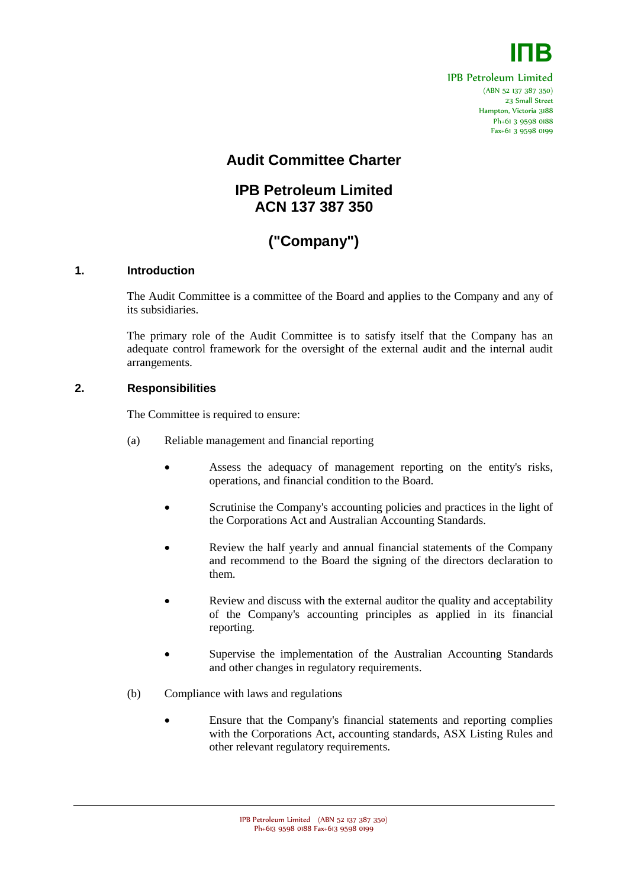

IPB Petroleum Limited (ABN 52 137 387 350) 23 Small Street Hampton, Victoria 3188 Ph+61 3 9598 0188 Fax+61 3 9598 0199

### **Audit Committee Charter**

## **IPB Petroleum Limited ACN 137 387 350**

# **("Company")**

#### **1. Introduction**

The Audit Committee is a committee of the Board and applies to the Company and any of its subsidiaries.

The primary role of the Audit Committee is to satisfy itself that the Company has an adequate control framework for the oversight of the external audit and the internal audit arrangements.

#### **2. Responsibilities**

The Committee is required to ensure:

- (a) Reliable management and financial reporting
	- Assess the adequacy of management reporting on the entity's risks, operations, and financial condition to the Board.
	- Scrutinise the Company's accounting policies and practices in the light of the Corporations Act and Australian Accounting Standards.
	- Review the half yearly and annual financial statements of the Company and recommend to the Board the signing of the directors declaration to them.
	- Review and discuss with the external auditor the quality and acceptability of the Company's accounting principles as applied in its financial reporting.
	- Supervise the implementation of the Australian Accounting Standards and other changes in regulatory requirements.
- (b) Compliance with laws and regulations
	- Ensure that the Company's financial statements and reporting complies with the Corporations Act, accounting standards, ASX Listing Rules and other relevant regulatory requirements.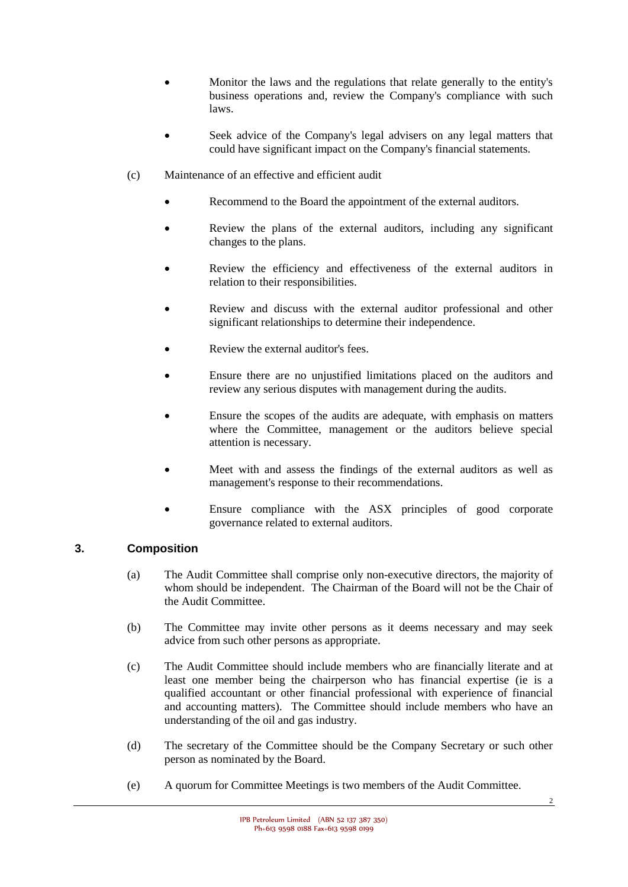- Monitor the laws and the regulations that relate generally to the entity's business operations and, review the Company's compliance with such laws.
- Seek advice of the Company's legal advisers on any legal matters that could have significant impact on the Company's financial statements.
- (c) Maintenance of an effective and efficient audit
	- Recommend to the Board the appointment of the external auditors.
	- Review the plans of the external auditors, including any significant changes to the plans.
	- Review the efficiency and effectiveness of the external auditors in relation to their responsibilities.
	- Review and discuss with the external auditor professional and other significant relationships to determine their independence.
	- Review the external auditor's fees.
	- Ensure there are no unjustified limitations placed on the auditors and review any serious disputes with management during the audits.
	- Ensure the scopes of the audits are adequate, with emphasis on matters where the Committee, management or the auditors believe special attention is necessary.
	- Meet with and assess the findings of the external auditors as well as management's response to their recommendations.
	- Ensure compliance with the ASX principles of good corporate governance related to external auditors.

#### **3. Composition**

- (a) The Audit Committee shall comprise only non-executive directors, the majority of whom should be independent. The Chairman of the Board will not be the Chair of the Audit Committee.
- (b) The Committee may invite other persons as it deems necessary and may seek advice from such other persons as appropriate.
- (c) The Audit Committee should include members who are financially literate and at least one member being the chairperson who has financial expertise (ie is a qualified accountant or other financial professional with experience of financial and accounting matters). The Committee should include members who have an understanding of the oil and gas industry.
- (d) The secretary of the Committee should be the Company Secretary or such other person as nominated by the Board.
- (e) A quorum for Committee Meetings is two members of the Audit Committee.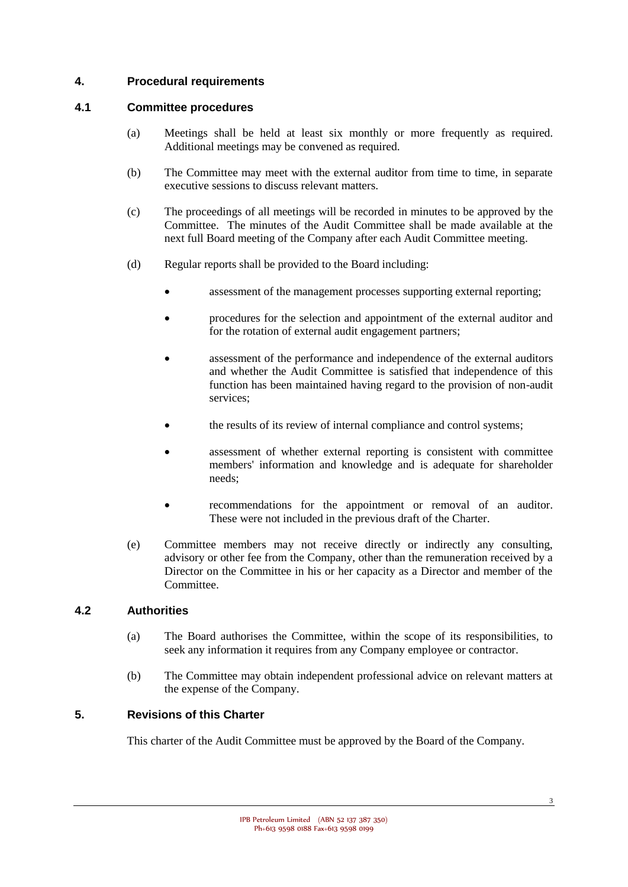#### **4. Procedural requirements**

#### **4.1 Committee procedures**

- (a) Meetings shall be held at least six monthly or more frequently as required. Additional meetings may be convened as required.
- (b) The Committee may meet with the external auditor from time to time, in separate executive sessions to discuss relevant matters.
- (c) The proceedings of all meetings will be recorded in minutes to be approved by the Committee. The minutes of the Audit Committee shall be made available at the next full Board meeting of the Company after each Audit Committee meeting.
- (d) Regular reports shall be provided to the Board including:
	- assessment of the management processes supporting external reporting;
	- procedures for the selection and appointment of the external auditor and for the rotation of external audit engagement partners;
	- assessment of the performance and independence of the external auditors and whether the Audit Committee is satisfied that independence of this function has been maintained having regard to the provision of non-audit services;
	- the results of its review of internal compliance and control systems;
	- assessment of whether external reporting is consistent with committee members' information and knowledge and is adequate for shareholder needs;
	- recommendations for the appointment or removal of an auditor. These were not included in the previous draft of the Charter.
- (e) Committee members may not receive directly or indirectly any consulting, advisory or other fee from the Company, other than the remuneration received by a Director on the Committee in his or her capacity as a Director and member of the Committee.

#### **4.2 Authorities**

- (a) The Board authorises the Committee, within the scope of its responsibilities, to seek any information it requires from any Company employee or contractor.
- (b) The Committee may obtain independent professional advice on relevant matters at the expense of the Company.

#### **5. Revisions of this Charter**

This charter of the Audit Committee must be approved by the Board of the Company.